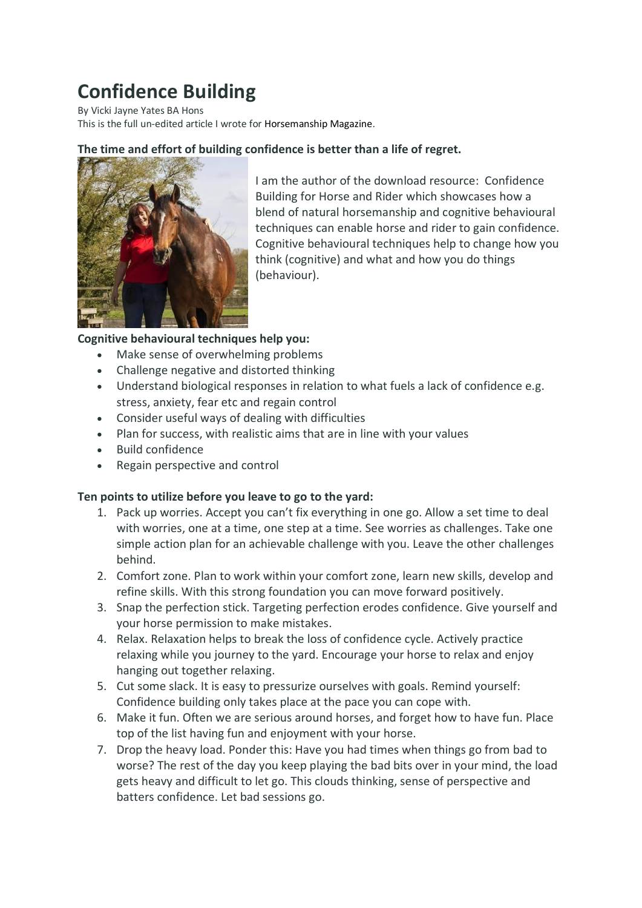# **Confidence Building**

By Vicki Jayne Yates BA Hons This is the full un-edited article I wrote for Horsemanship Magazine.

## **The time and effort of building confidence is better than a life of regret.**



I am the author of the download resource: Confidence Building for Horse and Rider which showcases how a blend of natural horsemanship and cognitive behavioural techniques can enable horse and rider to gain confidence. Cognitive behavioural techniques help to change how you think (cognitive) and what and how you do things (behaviour).

### **Cognitive behavioural techniques help you:**

- Make sense of overwhelming problems
- Challenge negative and distorted thinking
- Understand biological responses in relation to what fuels a lack of confidence e.g. stress, anxiety, fear etc and regain control
- Consider useful ways of dealing with difficulties
- Plan for success, with realistic aims that are in line with your values
- Build confidence
- Regain perspective and control

### **Ten points to utilize before you leave to go to the yard:**

- 1. Pack up worries. Accept you can't fix everything in one go. Allow a set time to deal with worries, one at a time, one step at a time. See worries as challenges. Take one simple action plan for an achievable challenge with you. Leave the other challenges behind.
- 2. Comfort zone. Plan to work within your comfort zone, learn new skills, develop and refine skills. With this strong foundation you can move forward positively.
- 3. Snap the perfection stick. Targeting perfection erodes confidence. Give yourself and your horse permission to make mistakes.
- 4. Relax. Relaxation helps to break the loss of confidence cycle. Actively practice relaxing while you journey to the yard. Encourage your horse to relax and enjoy hanging out together relaxing.
- 5. Cut some slack. It is easy to pressurize ourselves with goals. Remind yourself: Confidence building only takes place at the pace you can cope with.
- 6. Make it fun. Often we are serious around horses, and forget how to have fun. Place top of the list having fun and enjoyment with your horse.
- 7. Drop the heavy load. Ponder this: Have you had times when things go from bad to worse? The rest of the day you keep playing the bad bits over in your mind, the load gets heavy and difficult to let go. This clouds thinking, sense of perspective and batters confidence. Let bad sessions go.